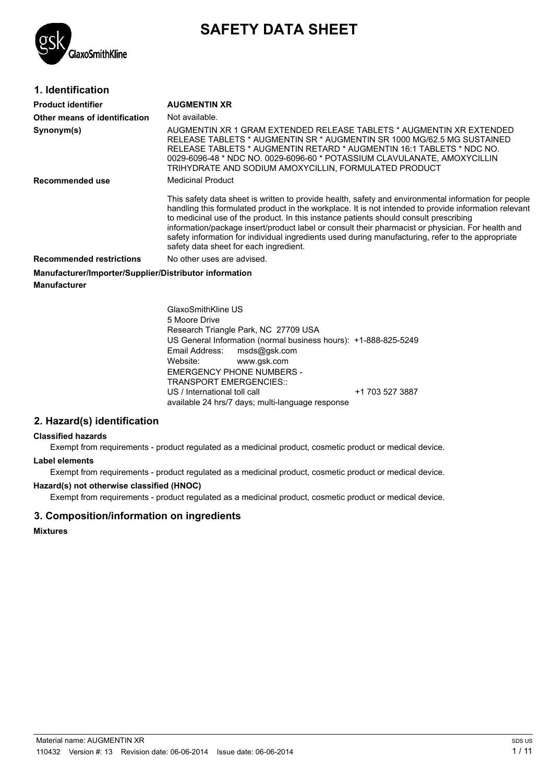

# **SAFETY DATA SHEET**

# **1. Identification**

| <b>Product identifier</b>                              | <b>AUGMENTIN XR</b>                                                                                                                                                                                                                                                                                                                                                                                                                                                                                                                                        |
|--------------------------------------------------------|------------------------------------------------------------------------------------------------------------------------------------------------------------------------------------------------------------------------------------------------------------------------------------------------------------------------------------------------------------------------------------------------------------------------------------------------------------------------------------------------------------------------------------------------------------|
| Other means of identification                          | Not available.                                                                                                                                                                                                                                                                                                                                                                                                                                                                                                                                             |
| Synonym(s)                                             | AUGMENTIN XR 1 GRAM EXTENDED RELEASE TABLETS * AUGMENTIN XR EXTENDED<br>RELEASE TABLETS * AUGMENTIN SR * AUGMENTIN SR 1000 MG/62.5 MG SUSTAINED<br>RELEASE TABLETS * AUGMENTIN RETARD * AUGMENTIN 16:1 TABLETS * NDC NO.<br>0029-6096-48 * NDC NO. 0029-6096-60 * POTASSIUM CLAVULANATE, AMOXYCILLIN<br>TRIHYDRATE AND SODIUM AMOXYCILLIN, FORMULATED PRODUCT                                                                                                                                                                                              |
| Recommended use                                        | <b>Medicinal Product</b>                                                                                                                                                                                                                                                                                                                                                                                                                                                                                                                                   |
|                                                        | This safety data sheet is written to provide health, safety and environmental information for people<br>handling this formulated product in the workplace. It is not intended to provide information relevant<br>to medicinal use of the product. In this instance patients should consult prescribing<br>information/package insert/product label or consult their pharmacist or physician. For health and<br>safety information for individual ingredients used during manufacturing, refer to the appropriate<br>safety data sheet for each ingredient. |
| <b>Recommended restrictions</b>                        | No other uses are advised.                                                                                                                                                                                                                                                                                                                                                                                                                                                                                                                                 |
| Manufacturer/Importer/Supplier/Distributor information |                                                                                                                                                                                                                                                                                                                                                                                                                                                                                                                                                            |

**Manufacturer**

GlaxoSmithKline US 5 Moore Drive Research Triangle Park, NC 27709 USA US General Information (normal business hours): +1-888-825-5249 Email Address: msds@gsk.com<br>Website: www.gsk.com www.gsk.com EMERGENCY PHONE NUMBERS - TRANSPORT EMERGENCIES:: US / International toll call +1 703 527 3887 available 24 hrs/7 days; multi-language response

# **2. Hazard(s) identification**

#### **Classified hazards**

Exempt from requirements - product regulated as a medicinal product, cosmetic product or medical device.

#### **Label elements**

Exempt from requirements - product regulated as a medicinal product, cosmetic product or medical device.

#### **Hazard(s) not otherwise classified (HNOC)**

Exempt from requirements - product regulated as a medicinal product, cosmetic product or medical device.

# **3. Composition/information on ingredients**

**Mixtures**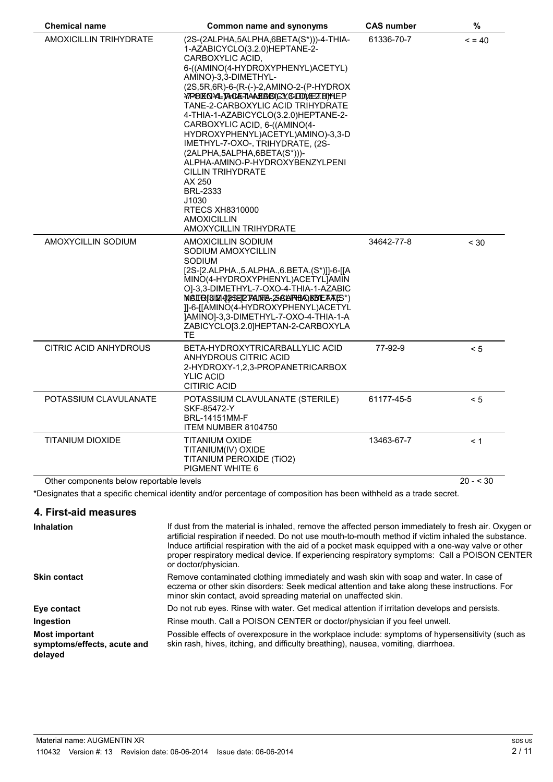| <b>Chemical name</b><br><b>Common name and synonyms</b> |                                                                                                                                                                                                                                                                                                                                                                                                                                                                                                                                                                                                                                                  | <b>CAS number</b> | $\%$       |
|---------------------------------------------------------|--------------------------------------------------------------------------------------------------------------------------------------------------------------------------------------------------------------------------------------------------------------------------------------------------------------------------------------------------------------------------------------------------------------------------------------------------------------------------------------------------------------------------------------------------------------------------------------------------------------------------------------------------|-------------------|------------|
| <b>AMOXICILLIN TRIHYDRATE</b>                           | (2S-(2ALPHA,5ALPHA,6BETA(S*)))-4-THIA-<br>1-AZABICYCLO(3.2.0)HEPTANE-2-<br>CARBOXYLIC ACID,<br>6-((AMINO(4-HYDROXYPHENYL)ACETYL)<br>AMINO)-3,3-DIMETHYL-<br>(2S, 5R, 6R)-6-(R-(-)-2, AMINO-2-(P-HYDROX<br>YPOKOYLIACA-TAAMABICY, CLOWEZ.DIYLEP<br>TANE-2-CARBOXYLIC ACID TRIHYDRATE<br>4-THIA-1-AZABICYCLO(3.2.0)HEPTANE-2-<br>CARBOXYLIC ACID, 6-((AMINO(4-<br>HYDROXYPHENYL)ACETYL)AMINO)-3,3-D<br>IMETHYL-7-OXO-, TRIHYDRATE, (2S-<br>$(2ALPHA, 5ALPHA, 6BETA(S^*)))$<br>ALPHA-AMINO-P-HYDROXYBENZYLPENI<br><b>CILLIN TRIHYDRATE</b><br>AX 250<br><b>BRL-2333</b><br>J1030<br><b>RTECS XH8310000</b><br>AMOXICILLIN<br>AMOXYCILLIN TRIHYDRATE | 61336-70-7        | $= 40$     |
| AMOXYCILLIN SODIUM                                      | AMOXICILLIN SODIUM<br>SODIUM AMOXYCILLIN<br><b>SODIUM</b><br>[2S-[2.ALPHA.,5.ALPHA.,6.BETA.(S*)]]-6-[[A<br>MINO(4-HYDROXYPHENYL)ACETYL]AMIN<br>O]-3,3-DIMETHYL-7-OXO-4-THIA-1-AZABIC<br>MAIR[BLM.QRSELETANTE. ZGARTBQ &BEAAES*)<br>]]-6-[[AMINO(4-HYDROXYPHENYL)ACETYL<br>JAMINO]-3,3-DIMETHYL-7-OXO-4-THIA-1-A<br>ZABICYCLO[3.2.0]HEPTAN-2-CARBOXYLA<br>TE                                                                                                                                                                                                                                                                                      | 34642-77-8        | < 30       |
| <b>CITRIC ACID ANHYDROUS</b>                            | BETA-HYDROXYTRICARBALLYLIC ACID<br>ANHYDROUS CITRIC ACID<br>2-HYDROXY-1,2,3-PROPANETRICARBOX<br><b>YLIC ACID</b><br><b>CITIRIC ACID</b>                                                                                                                                                                                                                                                                                                                                                                                                                                                                                                          | 77-92-9           | < 5        |
| POTASSIUM CLAVULANATE                                   | POTASSIUM CLAVULANATE (STERILE)<br>SKF-85472-Y<br><b>BRL-14151MM-F</b><br>ITEM NUMBER 8104750                                                                                                                                                                                                                                                                                                                                                                                                                                                                                                                                                    | 61177-45-5        | < 5        |
| <b>TITANIUM DIOXIDE</b>                                 | TITANIUM OXIDE<br>TITANIUM(IV) OXIDE<br>TITANIUM PEROXIDE (TIO2)<br><b>PIGMENT WHITE 6</b>                                                                                                                                                                                                                                                                                                                                                                                                                                                                                                                                                       | 13463-67-7        | < 1        |
| Other components below reportable levels                |                                                                                                                                                                                                                                                                                                                                                                                                                                                                                                                                                                                                                                                  |                   | $20 - 530$ |

\*Designates that a specific chemical identity and/or percentage of composition has been withheld as a trade secret.

## **4. First-aid measures**

| <b>Inhalation</b>                                               | If dust from the material is inhaled, remove the affected person immediately to fresh air. Oxygen or<br>artificial respiration if needed. Do not use mouth-to-mouth method if victim inhaled the substance.<br>Induce artificial respiration with the aid of a pocket mask equipped with a one-way valve or other<br>proper respiratory medical device. If experiencing respiratory symptoms: Call a POISON CENTER<br>or doctor/physician. |
|-----------------------------------------------------------------|--------------------------------------------------------------------------------------------------------------------------------------------------------------------------------------------------------------------------------------------------------------------------------------------------------------------------------------------------------------------------------------------------------------------------------------------|
| <b>Skin contact</b>                                             | Remove contaminated clothing immediately and wash skin with soap and water. In case of<br>eczema or other skin disorders: Seek medical attention and take along these instructions. For<br>minor skin contact, avoid spreading material on unaffected skin.                                                                                                                                                                                |
| Eye contact                                                     | Do not rub eyes. Rinse with water. Get medical attention if irritation develops and persists.                                                                                                                                                                                                                                                                                                                                              |
| Ingestion                                                       | Rinse mouth. Call a POISON CENTER or doctor/physician if you feel unwell.                                                                                                                                                                                                                                                                                                                                                                  |
| <b>Most important</b><br>symptoms/effects, acute and<br>delayed | Possible effects of overexposure in the workplace include: symptoms of hypersensitivity (such as<br>skin rash, hives, itching, and difficulty breathing), nausea, vomiting, diarrhoea.                                                                                                                                                                                                                                                     |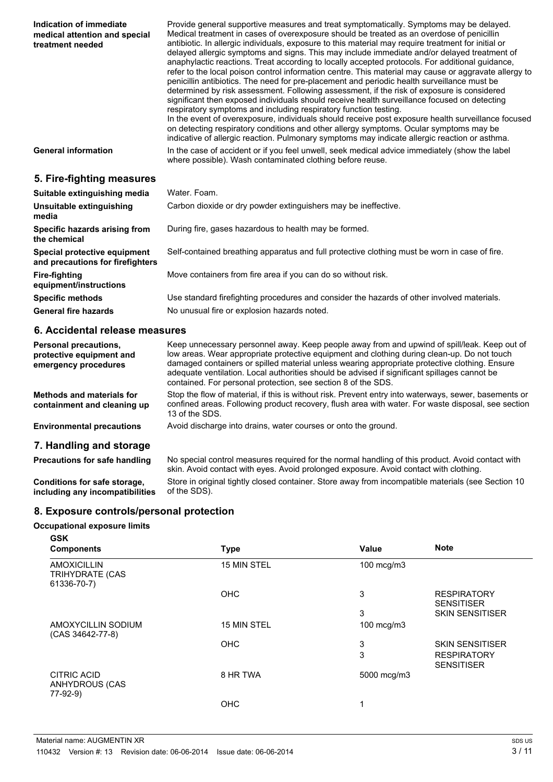| Indication of immediate<br>medical attention and special<br>treatment needed | Provide general supportive measures and treat symptomatically. Symptoms may be delayed.<br>Medical treatment in cases of overexposure should be treated as an overdose of penicillin<br>antibiotic. In allergic individuals, exposure to this material may require treatment for initial or<br>delayed allergic symptoms and signs. This may include immediate and/or delayed treatment of<br>anaphylactic reactions. Treat according to locally accepted protocols. For additional guidance,<br>refer to the local poison control information centre. This material may cause or aggravate allergy to<br>penicillin antibiotics. The need for pre-placement and periodic health surveillance must be<br>determined by risk assessment. Following assessment, if the risk of exposure is considered<br>significant then exposed individuals should receive health surveillance focused on detecting<br>respiratory symptoms and including respiratory function testing.<br>In the event of overexposure, individuals should receive post exposure health surveillance focused<br>on detecting respiratory conditions and other allergy symptoms. Ocular symptoms may be<br>indicative of allergic reaction. Pulmonary symptoms may indicate allergic reaction or asthma. |
|------------------------------------------------------------------------------|--------------------------------------------------------------------------------------------------------------------------------------------------------------------------------------------------------------------------------------------------------------------------------------------------------------------------------------------------------------------------------------------------------------------------------------------------------------------------------------------------------------------------------------------------------------------------------------------------------------------------------------------------------------------------------------------------------------------------------------------------------------------------------------------------------------------------------------------------------------------------------------------------------------------------------------------------------------------------------------------------------------------------------------------------------------------------------------------------------------------------------------------------------------------------------------------------------------------------------------------------------------------------|
| <b>General information</b>                                                   | In the case of accident or if you feel unwell, seek medical advice immediately (show the label<br>where possible). Wash contaminated clothing before reuse.                                                                                                                                                                                                                                                                                                                                                                                                                                                                                                                                                                                                                                                                                                                                                                                                                                                                                                                                                                                                                                                                                                              |
| 5. Fire-fighting measures                                                    |                                                                                                                                                                                                                                                                                                                                                                                                                                                                                                                                                                                                                                                                                                                                                                                                                                                                                                                                                                                                                                                                                                                                                                                                                                                                          |
| Suitable extinguishing media                                                 | Water, Foam.                                                                                                                                                                                                                                                                                                                                                                                                                                                                                                                                                                                                                                                                                                                                                                                                                                                                                                                                                                                                                                                                                                                                                                                                                                                             |
| Unsuitable extinguishing<br>media                                            | Carbon dioxide or dry powder extinguishers may be ineffective.                                                                                                                                                                                                                                                                                                                                                                                                                                                                                                                                                                                                                                                                                                                                                                                                                                                                                                                                                                                                                                                                                                                                                                                                           |
| Specific hazards arising from<br>the chemical                                | During fire, gases hazardous to health may be formed.                                                                                                                                                                                                                                                                                                                                                                                                                                                                                                                                                                                                                                                                                                                                                                                                                                                                                                                                                                                                                                                                                                                                                                                                                    |
| Special protective equipment<br>and precautions for firefighters             | Self-contained breathing apparatus and full protective clothing must be worn in case of fire.                                                                                                                                                                                                                                                                                                                                                                                                                                                                                                                                                                                                                                                                                                                                                                                                                                                                                                                                                                                                                                                                                                                                                                            |
| <b>Fire-fighting</b><br>equipment/instructions                               | Move containers from fire area if you can do so without risk.                                                                                                                                                                                                                                                                                                                                                                                                                                                                                                                                                                                                                                                                                                                                                                                                                                                                                                                                                                                                                                                                                                                                                                                                            |
| <b>Specific methods</b>                                                      | Use standard firefighting procedures and consider the hazards of other involved materials.                                                                                                                                                                                                                                                                                                                                                                                                                                                                                                                                                                                                                                                                                                                                                                                                                                                                                                                                                                                                                                                                                                                                                                               |
| <b>General fire hazards</b>                                                  | No unusual fire or explosion hazards noted.                                                                                                                                                                                                                                                                                                                                                                                                                                                                                                                                                                                                                                                                                                                                                                                                                                                                                                                                                                                                                                                                                                                                                                                                                              |

## **6. Accidental release measures**

| <b>Personal precautions,</b><br>protective equipment and<br>emergency procedures | Keep unnecessary personnel away. Keep people away from and upwind of spill/leak. Keep out of<br>low areas. Wear appropriate protective equipment and clothing during clean-up. Do not touch<br>damaged containers or spilled material unless wearing appropriate protective clothing. Ensure<br>adequate ventilation. Local authorities should be advised if significant spillages cannot be<br>contained. For personal protection, see section 8 of the SDS. |
|----------------------------------------------------------------------------------|---------------------------------------------------------------------------------------------------------------------------------------------------------------------------------------------------------------------------------------------------------------------------------------------------------------------------------------------------------------------------------------------------------------------------------------------------------------|
| <b>Methods and materials for</b><br>containment and cleaning up                  | Stop the flow of material, if this is without risk. Prevent entry into waterways, sewer, basements or<br>confined areas. Following product recovery, flush area with water. For waste disposal, see section<br>13 of the SDS.                                                                                                                                                                                                                                 |
| <b>Environmental precautions</b>                                                 | Avoid discharge into drains, water courses or onto the ground.                                                                                                                                                                                                                                                                                                                                                                                                |
| 7. Handling and storage                                                          |                                                                                                                                                                                                                                                                                                                                                                                                                                                               |
| Precautions for safe handling                                                    | No special control measures required for the normal handling of this product. Avoid contact with<br>skin. Avoid contact with eyes. Avoid prolonged exposure. Avoid contact with clothing.                                                                                                                                                                                                                                                                     |
| Conditions for safe storage,<br>including any incompatibilities                  | Store in original tightly closed container. Store away from incompatible materials (see Section 10<br>of the SDS).                                                                                                                                                                                                                                                                                                                                            |

# **8. Exposure controls/personal protection**

#### **Occupational exposure limits**

| <b>GSK</b><br><b>Components</b>                             | <b>Type</b> | Value       | <b>Note</b>                             |
|-------------------------------------------------------------|-------------|-------------|-----------------------------------------|
|                                                             |             |             |                                         |
| <b>AMOXICILLIN</b><br><b>TRIHYDRATE (CAS</b><br>61336-70-7) | 15 MIN STEL | 100 mcg/m3  |                                         |
|                                                             | <b>OHC</b>  | 3           | <b>RESPIRATORY</b><br><b>SENSITISER</b> |
|                                                             |             | 3           | <b>SKIN SENSITISER</b>                  |
| AMOXYCILLIN SODIUM<br>(CAS 34642-77-8)                      | 15 MIN STEL | 100 mcg/m3  |                                         |
|                                                             | <b>OHC</b>  | 3           | <b>SKIN SENSITISER</b>                  |
|                                                             |             | 3           | <b>RESPIRATORY</b><br><b>SENSITISER</b> |
| <b>CITRIC ACID</b><br><b>ANHYDROUS (CAS</b><br>77-92-9)     | 8 HR TWA    | 5000 mcg/m3 |                                         |
|                                                             | <b>OHC</b>  | 1           |                                         |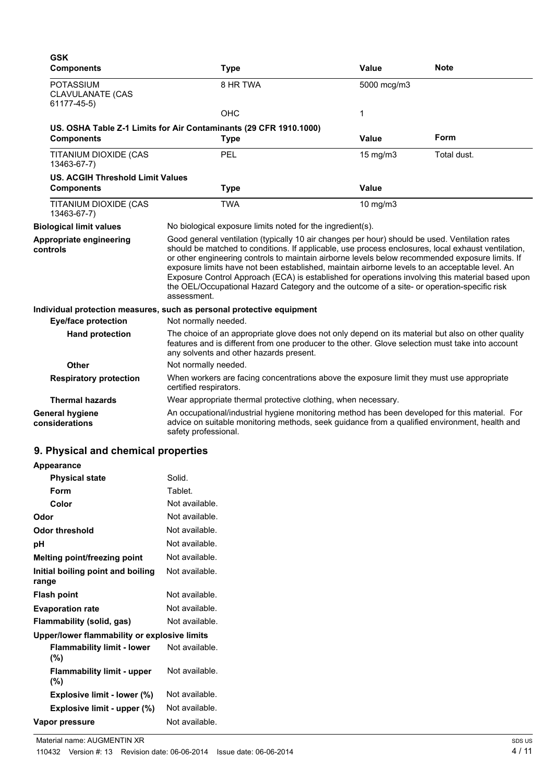| <b>Type</b>                                                                                                                                                                                                                                      | Value             | <b>Note</b>                                                                                                                                                                                                                                                                                                                                                                                                                                                                                                                                                                                                                                                                                                                                                                                                                                                                                                                                                                                                                                                                                                                                                                              |
|--------------------------------------------------------------------------------------------------------------------------------------------------------------------------------------------------------------------------------------------------|-------------------|------------------------------------------------------------------------------------------------------------------------------------------------------------------------------------------------------------------------------------------------------------------------------------------------------------------------------------------------------------------------------------------------------------------------------------------------------------------------------------------------------------------------------------------------------------------------------------------------------------------------------------------------------------------------------------------------------------------------------------------------------------------------------------------------------------------------------------------------------------------------------------------------------------------------------------------------------------------------------------------------------------------------------------------------------------------------------------------------------------------------------------------------------------------------------------------|
| 8 HR TWA                                                                                                                                                                                                                                         | 5000 mcg/m3       |                                                                                                                                                                                                                                                                                                                                                                                                                                                                                                                                                                                                                                                                                                                                                                                                                                                                                                                                                                                                                                                                                                                                                                                          |
| <b>OHC</b>                                                                                                                                                                                                                                       | 1                 |                                                                                                                                                                                                                                                                                                                                                                                                                                                                                                                                                                                                                                                                                                                                                                                                                                                                                                                                                                                                                                                                                                                                                                                          |
|                                                                                                                                                                                                                                                  |                   |                                                                                                                                                                                                                                                                                                                                                                                                                                                                                                                                                                                                                                                                                                                                                                                                                                                                                                                                                                                                                                                                                                                                                                                          |
| <b>Type</b>                                                                                                                                                                                                                                      | <b>Value</b>      | <b>Form</b>                                                                                                                                                                                                                                                                                                                                                                                                                                                                                                                                                                                                                                                                                                                                                                                                                                                                                                                                                                                                                                                                                                                                                                              |
| PEL                                                                                                                                                                                                                                              | $15 \text{ mg/m}$ | Total dust.                                                                                                                                                                                                                                                                                                                                                                                                                                                                                                                                                                                                                                                                                                                                                                                                                                                                                                                                                                                                                                                                                                                                                                              |
| <b>US. ACGIH Threshold Limit Values</b>                                                                                                                                                                                                          |                   |                                                                                                                                                                                                                                                                                                                                                                                                                                                                                                                                                                                                                                                                                                                                                                                                                                                                                                                                                                                                                                                                                                                                                                                          |
| <b>Type</b>                                                                                                                                                                                                                                      | Value             |                                                                                                                                                                                                                                                                                                                                                                                                                                                                                                                                                                                                                                                                                                                                                                                                                                                                                                                                                                                                                                                                                                                                                                                          |
| <b>TWA</b>                                                                                                                                                                                                                                       | $10$ mg/m $3$     |                                                                                                                                                                                                                                                                                                                                                                                                                                                                                                                                                                                                                                                                                                                                                                                                                                                                                                                                                                                                                                                                                                                                                                                          |
|                                                                                                                                                                                                                                                  |                   |                                                                                                                                                                                                                                                                                                                                                                                                                                                                                                                                                                                                                                                                                                                                                                                                                                                                                                                                                                                                                                                                                                                                                                                          |
| assessment.                                                                                                                                                                                                                                      |                   |                                                                                                                                                                                                                                                                                                                                                                                                                                                                                                                                                                                                                                                                                                                                                                                                                                                                                                                                                                                                                                                                                                                                                                                          |
|                                                                                                                                                                                                                                                  |                   |                                                                                                                                                                                                                                                                                                                                                                                                                                                                                                                                                                                                                                                                                                                                                                                                                                                                                                                                                                                                                                                                                                                                                                                          |
| Not normally needed.                                                                                                                                                                                                                             |                   |                                                                                                                                                                                                                                                                                                                                                                                                                                                                                                                                                                                                                                                                                                                                                                                                                                                                                                                                                                                                                                                                                                                                                                                          |
| The choice of an appropriate glove does not only depend on its material but also on other quality<br>features and is different from one producer to the other. Glove selection must take into account<br>any solvents and other hazards present. |                   |                                                                                                                                                                                                                                                                                                                                                                                                                                                                                                                                                                                                                                                                                                                                                                                                                                                                                                                                                                                                                                                                                                                                                                                          |
| Not normally needed.                                                                                                                                                                                                                             |                   |                                                                                                                                                                                                                                                                                                                                                                                                                                                                                                                                                                                                                                                                                                                                                                                                                                                                                                                                                                                                                                                                                                                                                                                          |
| certified respirators.                                                                                                                                                                                                                           |                   |                                                                                                                                                                                                                                                                                                                                                                                                                                                                                                                                                                                                                                                                                                                                                                                                                                                                                                                                                                                                                                                                                                                                                                                          |
|                                                                                                                                                                                                                                                  |                   |                                                                                                                                                                                                                                                                                                                                                                                                                                                                                                                                                                                                                                                                                                                                                                                                                                                                                                                                                                                                                                                                                                                                                                                          |
| safety professional.                                                                                                                                                                                                                             |                   |                                                                                                                                                                                                                                                                                                                                                                                                                                                                                                                                                                                                                                                                                                                                                                                                                                                                                                                                                                                                                                                                                                                                                                                          |
|                                                                                                                                                                                                                                                  |                   | US. OSHA Table Z-1 Limits for Air Contaminants (29 CFR 1910.1000)<br>No biological exposure limits noted for the ingredient(s).<br>Good general ventilation (typically 10 air changes per hour) should be used. Ventilation rates<br>should be matched to conditions. If applicable, use process enclosures, local exhaust ventilation,<br>or other engineering controls to maintain airborne levels below recommended exposure limits. If<br>exposure limits have not been established, maintain airborne levels to an acceptable level. An<br>Exposure Control Approach (ECA) is established for operations involving this material based upon<br>the OEL/Occupational Hazard Category and the outcome of a site- or operation-specific risk<br>Individual protection measures, such as personal protective equipment<br>When workers are facing concentrations above the exposure limit they must use appropriate<br>Wear appropriate thermal protective clothing, when necessary.<br>An occupational/industrial hygiene monitoring method has been developed for this material. For<br>advice on suitable monitoring methods, seek guidance from a qualified environment, health and |

| <b>Appearance</b>                            |                |  |
|----------------------------------------------|----------------|--|
| <b>Physical state</b>                        | Solid.         |  |
| Form                                         | Tablet.        |  |
| Color                                        | Not available. |  |
| Odor                                         | Not available. |  |
| Odor threshold                               | Not available. |  |
| рH                                           | Not available. |  |
| Melting point/freezing point                 | Not available. |  |
| Initial boiling point and boiling<br>range   | Not available. |  |
| <b>Flash point</b>                           | Not available. |  |
| <b>Evaporation rate</b>                      | Not available. |  |
| <b>Flammability (solid, gas)</b>             | Not available. |  |
| Upper/lower flammability or explosive limits |                |  |
| <b>Flammability limit - lower</b><br>(%)     | Not available. |  |
| <b>Flammability limit - upper</b><br>(%)     | Not available. |  |
| Explosive limit - lower (%)                  | Not available. |  |
| Explosive limit - upper (%)                  | Not available. |  |
| Vapor pressure                               | Not available. |  |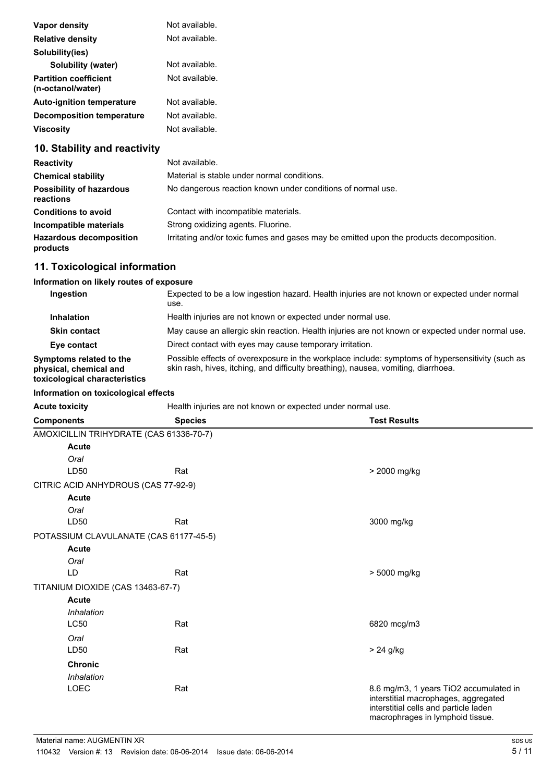| Vapor density                                     | Not available. |
|---------------------------------------------------|----------------|
| <b>Relative density</b>                           | Not available. |
| Solubility(ies)                                   |                |
| Solubility (water)                                | Not available. |
| <b>Partition coefficient</b><br>(n-octanol/water) | Not available. |
| <b>Auto-ignition temperature</b>                  | Not available. |
| Decomposition temperature                         | Not available. |
| <b>Viscosity</b>                                  | Not available. |
| 10 Ctability and reactivity                       |                |

## **10. Stability and reactivity**

| <b>Reactivity</b>                            | Not available.                                                                          |
|----------------------------------------------|-----------------------------------------------------------------------------------------|
| <b>Chemical stability</b>                    | Material is stable under normal conditions.                                             |
| <b>Possibility of hazardous</b><br>reactions | No dangerous reaction known under conditions of normal use.                             |
| <b>Conditions to avoid</b>                   | Contact with incompatible materials.                                                    |
| Incompatible materials                       | Strong oxidizing agents. Fluorine.                                                      |
| <b>Hazardous decomposition</b><br>products   | Irritating and/or toxic fumes and gases may be emitted upon the products decomposition. |

# **11. Toxicological information**

#### **Information on likely routes of exposure**

| Ingestion                                                                          | Expected to be a low ingestion hazard. Health injuries are not known or expected under normal<br>use.                                                                                  |
|------------------------------------------------------------------------------------|----------------------------------------------------------------------------------------------------------------------------------------------------------------------------------------|
| <b>Inhalation</b>                                                                  | Health injuries are not known or expected under normal use.                                                                                                                            |
| <b>Skin contact</b>                                                                | May cause an allergic skin reaction. Health injuries are not known or expected under normal use.                                                                                       |
| Eye contact                                                                        | Direct contact with eyes may cause temporary irritation.                                                                                                                               |
| Symptoms related to the<br>physical, chemical and<br>toxicological characteristics | Possible effects of overexposure in the workplace include: symptoms of hypersensitivity (such as<br>skin rash, hives, itching, and difficulty breathing), nausea, vomiting, diarrhoea. |

Acute toxicity **Acute toxicity Health injuries are not known or expected under normal use.** 

| <b>Components</b>                       | <b>Species</b> | <b>Test Results</b>                                                                                                                                         |
|-----------------------------------------|----------------|-------------------------------------------------------------------------------------------------------------------------------------------------------------|
| AMOXICILLIN TRIHYDRATE (CAS 61336-70-7) |                |                                                                                                                                                             |
| <b>Acute</b>                            |                |                                                                                                                                                             |
| Oral                                    |                |                                                                                                                                                             |
| LD50                                    | Rat            | > 2000 mg/kg                                                                                                                                                |
| CITRIC ACID ANHYDROUS (CAS 77-92-9)     |                |                                                                                                                                                             |
| <b>Acute</b>                            |                |                                                                                                                                                             |
| Oral                                    |                |                                                                                                                                                             |
| LD50                                    | Rat            | 3000 mg/kg                                                                                                                                                  |
| POTASSIUM CLAVULANATE (CAS 61177-45-5)  |                |                                                                                                                                                             |
| Acute                                   |                |                                                                                                                                                             |
| Oral                                    |                |                                                                                                                                                             |
| LD                                      | Rat            | > 5000 mg/kg                                                                                                                                                |
| TITANIUM DIOXIDE (CAS 13463-67-7)       |                |                                                                                                                                                             |
| <b>Acute</b>                            |                |                                                                                                                                                             |
| Inhalation                              |                |                                                                                                                                                             |
| <b>LC50</b>                             | Rat            | 6820 mcg/m3                                                                                                                                                 |
| Oral                                    |                |                                                                                                                                                             |
| LD50                                    | Rat            | $> 24$ g/kg                                                                                                                                                 |
| <b>Chronic</b>                          |                |                                                                                                                                                             |
| Inhalation                              |                |                                                                                                                                                             |
| LOEC                                    | Rat            | 8.6 mg/m3, 1 years TiO2 accumulated in<br>interstitial macrophages, aggregated<br>interstitial cells and particle laden<br>macrophrages in lymphoid tissue. |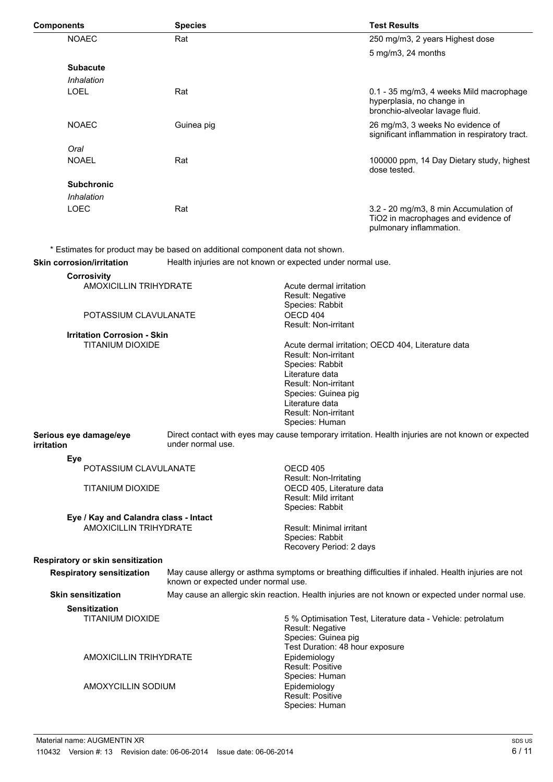| <b>Components</b>                                                |                                       | <b>Species</b>                                                               |                                                                                                                                                                                             | <b>Test Results</b>                                                                                     |
|------------------------------------------------------------------|---------------------------------------|------------------------------------------------------------------------------|---------------------------------------------------------------------------------------------------------------------------------------------------------------------------------------------|---------------------------------------------------------------------------------------------------------|
|                                                                  | <b>NOAEC</b>                          | Rat                                                                          |                                                                                                                                                                                             | 250 mg/m3, 2 years Highest dose                                                                         |
|                                                                  |                                       |                                                                              |                                                                                                                                                                                             | $5 \text{ mg/m3}$ , 24 months                                                                           |
|                                                                  | <b>Subacute</b>                       |                                                                              |                                                                                                                                                                                             |                                                                                                         |
|                                                                  | Inhalation                            |                                                                              |                                                                                                                                                                                             |                                                                                                         |
|                                                                  | <b>LOEL</b>                           | Rat                                                                          |                                                                                                                                                                                             |                                                                                                         |
|                                                                  |                                       |                                                                              |                                                                                                                                                                                             | 0.1 - 35 mg/m3, 4 weeks Mild macrophage<br>hyperplasia, no change in<br>bronchio-alveolar lavage fluid. |
|                                                                  | <b>NOAEC</b>                          | Guinea pig                                                                   |                                                                                                                                                                                             | 26 mg/m3, 3 weeks No evidence of<br>significant inflammation in respiratory tract.                      |
|                                                                  | Oral                                  |                                                                              |                                                                                                                                                                                             |                                                                                                         |
|                                                                  | <b>NOAEL</b>                          | Rat                                                                          |                                                                                                                                                                                             | 100000 ppm, 14 Day Dietary study, highest<br>dose tested.                                               |
|                                                                  | <b>Subchronic</b>                     |                                                                              |                                                                                                                                                                                             |                                                                                                         |
|                                                                  | Inhalation                            |                                                                              |                                                                                                                                                                                             |                                                                                                         |
|                                                                  | LOEC                                  | Rat                                                                          |                                                                                                                                                                                             | 3.2 - 20 mg/m3, 8 min Accumulation of<br>TiO2 in macrophages and evidence of<br>pulmonary inflammation. |
|                                                                  |                                       | * Estimates for product may be based on additional component data not shown. |                                                                                                                                                                                             |                                                                                                         |
|                                                                  | <b>Skin corrosion/irritation</b>      | Health injuries are not known or expected under normal use.                  |                                                                                                                                                                                             |                                                                                                         |
|                                                                  | <b>Corrosivity</b>                    |                                                                              |                                                                                                                                                                                             |                                                                                                         |
| <b>AMOXICILLIN TRIHYDRATE</b>                                    |                                       |                                                                              | Acute dermal irritation<br>Result: Negative<br>Species: Rabbit                                                                                                                              |                                                                                                         |
|                                                                  | POTASSIUM CLAVULANATE                 |                                                                              | OECD 404<br>Result: Non-irritant                                                                                                                                                            |                                                                                                         |
|                                                                  | <b>Irritation Corrosion - Skin</b>    |                                                                              |                                                                                                                                                                                             |                                                                                                         |
|                                                                  | <b>TITANIUM DIOXIDE</b>               |                                                                              | <b>Result: Non-irritant</b><br>Species: Rabbit<br>Literature data<br><b>Result: Non-irritant</b><br>Species: Guinea pig<br>Literature data<br><b>Result: Non-irritant</b><br>Species: Human | Acute dermal irritation; OECD 404, Literature data                                                      |
| Serious eye damage/eye<br>under normal use.<br><b>irritation</b> |                                       |                                                                              |                                                                                                                                                                                             | Direct contact with eyes may cause temporary irritation. Health injuries are not known or expected      |
|                                                                  | <b>Eye</b>                            |                                                                              |                                                                                                                                                                                             |                                                                                                         |
|                                                                  | POTASSIUM CLAVULANATE                 |                                                                              | OECD 405                                                                                                                                                                                    |                                                                                                         |
| <b>TITANIUM DIOXIDE</b>                                          |                                       |                                                                              | Result: Non-Irritating<br>OECD 405, Literature data<br><b>Result: Mild irritant</b><br>Species: Rabbit                                                                                      |                                                                                                         |
|                                                                  | Eye / Kay and Calandra class - Intact |                                                                              |                                                                                                                                                                                             |                                                                                                         |
| <b>AMOXICILLIN TRIHYDRATE</b>                                    |                                       |                                                                              | Result: Minimal irritant<br>Species: Rabbit<br>Recovery Period: 2 days                                                                                                                      |                                                                                                         |
|                                                                  | Respiratory or skin sensitization     |                                                                              |                                                                                                                                                                                             |                                                                                                         |
| <b>Respiratory sensitization</b>                                 |                                       | known or expected under normal use.                                          |                                                                                                                                                                                             | May cause allergy or asthma symptoms or breathing difficulties if inhaled. Health injuries are not      |
|                                                                  | <b>Skin sensitization</b>             |                                                                              |                                                                                                                                                                                             | May cause an allergic skin reaction. Health injuries are not known or expected under normal use.        |
|                                                                  | <b>Sensitization</b>                  |                                                                              |                                                                                                                                                                                             |                                                                                                         |
|                                                                  | <b>TITANIUM DIOXIDE</b>               |                                                                              | Result: Negative<br>Species: Guinea pig                                                                                                                                                     | 5 % Optimisation Test, Literature data - Vehicle: petrolatum                                            |
|                                                                  | <b>AMOXICILLIN TRIHYDRATE</b>         |                                                                              | Test Duration: 48 hour exposure<br>Epidemiology<br>Result: Positive                                                                                                                         |                                                                                                         |
| AMOXYCILLIN SODIUM                                               |                                       |                                                                              | Species: Human<br>Epidemiology<br>Result: Positive<br>Species: Human                                                                                                                        |                                                                                                         |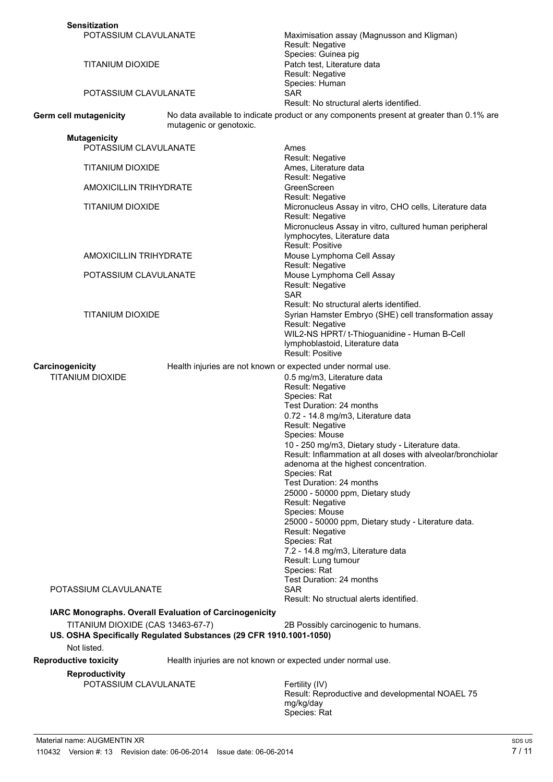| <b>Sensitization</b>                                                                                                                            |                                                             |                                                                                                                                                                                                                                                                                                                                                                                                                                                                                                                                                                                                                                                                                                                                                             |
|-------------------------------------------------------------------------------------------------------------------------------------------------|-------------------------------------------------------------|-------------------------------------------------------------------------------------------------------------------------------------------------------------------------------------------------------------------------------------------------------------------------------------------------------------------------------------------------------------------------------------------------------------------------------------------------------------------------------------------------------------------------------------------------------------------------------------------------------------------------------------------------------------------------------------------------------------------------------------------------------------|
| POTASSIUM CLAVULANATE                                                                                                                           |                                                             | Maximisation assay (Magnusson and Kligman)<br>Result: Negative<br>Species: Guinea pig                                                                                                                                                                                                                                                                                                                                                                                                                                                                                                                                                                                                                                                                       |
| TITANIUM DIOXIDE                                                                                                                                |                                                             | Patch test, Literature data<br>Result: Negative<br>Species: Human                                                                                                                                                                                                                                                                                                                                                                                                                                                                                                                                                                                                                                                                                           |
| POTASSIUM CLAVULANATE                                                                                                                           |                                                             | SAR<br>Result: No structural alerts identified.                                                                                                                                                                                                                                                                                                                                                                                                                                                                                                                                                                                                                                                                                                             |
| Germ cell mutagenicity                                                                                                                          | mutagenic or genotoxic.                                     | No data available to indicate product or any components present at greater than 0.1% are                                                                                                                                                                                                                                                                                                                                                                                                                                                                                                                                                                                                                                                                    |
| <b>Mutagenicity</b>                                                                                                                             |                                                             |                                                                                                                                                                                                                                                                                                                                                                                                                                                                                                                                                                                                                                                                                                                                                             |
| POTASSIUM CLAVULANATE                                                                                                                           |                                                             | Ames                                                                                                                                                                                                                                                                                                                                                                                                                                                                                                                                                                                                                                                                                                                                                        |
| <b>TITANIUM DIOXIDE</b>                                                                                                                         |                                                             | Result: Negative<br>Ames, Literature data<br>Result: Negative                                                                                                                                                                                                                                                                                                                                                                                                                                                                                                                                                                                                                                                                                               |
| <b>AMOXICILLIN TRIHYDRATE</b>                                                                                                                   |                                                             | GreenScreen                                                                                                                                                                                                                                                                                                                                                                                                                                                                                                                                                                                                                                                                                                                                                 |
| <b>TITANIUM DIOXIDE</b>                                                                                                                         |                                                             | Result: Negative<br>Micronucleus Assay in vitro, CHO cells, Literature data<br>Result: Negative<br>Micronucleus Assay in vitro, cultured human peripheral<br>lymphocytes, Literature data                                                                                                                                                                                                                                                                                                                                                                                                                                                                                                                                                                   |
| <b>AMOXICILLIN TRIHYDRATE</b>                                                                                                                   |                                                             | Result: Positive<br>Mouse Lymphoma Cell Assay<br>Result: Negative                                                                                                                                                                                                                                                                                                                                                                                                                                                                                                                                                                                                                                                                                           |
| POTASSIUM CLAVULANATE                                                                                                                           |                                                             | Mouse Lymphoma Cell Assay<br>Result: Negative<br><b>SAR</b>                                                                                                                                                                                                                                                                                                                                                                                                                                                                                                                                                                                                                                                                                                 |
| TITANIUM DIOXIDE                                                                                                                                |                                                             | Result: No structural alerts identified.<br>Syrian Hamster Embryo (SHE) cell transformation assay<br>Result: Negative<br>WIL2-NS HPRT/ t-Thioguanidine - Human B-Cell<br>lymphoblastoid, Literature data<br><b>Result: Positive</b>                                                                                                                                                                                                                                                                                                                                                                                                                                                                                                                         |
| Carcinogenicity                                                                                                                                 | Health injuries are not known or expected under normal use. |                                                                                                                                                                                                                                                                                                                                                                                                                                                                                                                                                                                                                                                                                                                                                             |
| <b>TITANIUM DIOXIDE</b><br>POTASSIUM CLAVULANATE<br>IARC Monographs. Overall Evaluation of Carcinogenicity<br>TITANIUM DIOXIDE (CAS 13463-67-7) |                                                             | 0.5 mg/m3, Literature data<br>Result: Negative<br>Species: Rat<br>Test Duration: 24 months<br>0.72 - 14.8 mg/m3, Literature data<br>Result: Negative<br>Species: Mouse<br>10 - 250 mg/m3, Dietary study - Literature data.<br>Result: Inflammation at all doses with alveolar/bronchiolar<br>adenoma at the highest concentration.<br>Species: Rat<br>Test Duration: 24 months<br>25000 - 50000 ppm, Dietary study<br>Result: Negative<br>Species: Mouse<br>25000 - 50000 ppm, Dietary study - Literature data.<br>Result: Negative<br>Species: Rat<br>7.2 - 14.8 mg/m3, Literature data<br>Result: Lung tumour<br>Species: Rat<br>Test Duration: 24 months<br><b>SAR</b><br>Result: No structual alerts identified.<br>2B Possibly carcinogenic to humans. |
| US. OSHA Specifically Regulated Substances (29 CFR 1910.1001-1050)                                                                              |                                                             |                                                                                                                                                                                                                                                                                                                                                                                                                                                                                                                                                                                                                                                                                                                                                             |
| Not listed.                                                                                                                                     |                                                             |                                                                                                                                                                                                                                                                                                                                                                                                                                                                                                                                                                                                                                                                                                                                                             |
| <b>Reproductive toxicity</b>                                                                                                                    | Health injuries are not known or expected under normal use. |                                                                                                                                                                                                                                                                                                                                                                                                                                                                                                                                                                                                                                                                                                                                                             |
| <b>Reproductivity</b><br>POTASSIUM CLAVULANATE                                                                                                  |                                                             | Fertility (IV)<br>Result: Reproductive and developmental NOAEL 75<br>mg/kg/day<br>Species: Rat                                                                                                                                                                                                                                                                                                                                                                                                                                                                                                                                                                                                                                                              |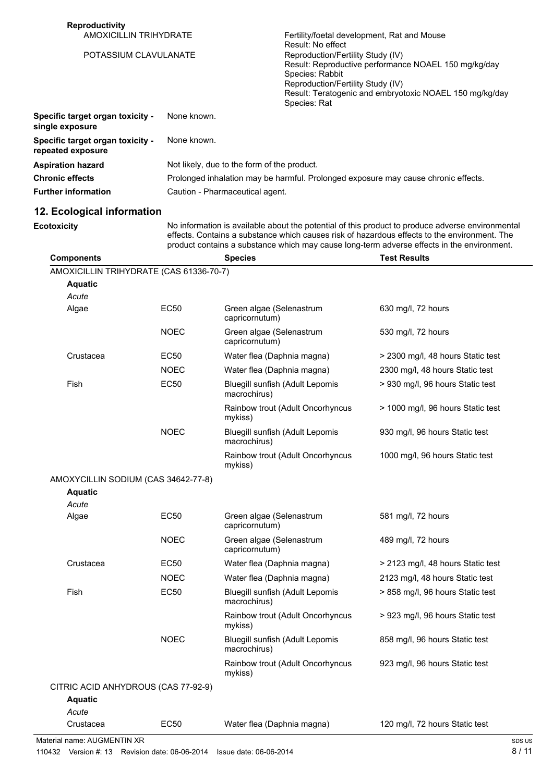| <b>Reproductivity</b><br><b>AMOXICILLIN TRIHYDRATE</b> |             |                                             | Fertility/foetal development, Rat and Mouse                                                                                                                                                                                                       |                                                                                                                                                                                                                                                                                                |
|--------------------------------------------------------|-------------|---------------------------------------------|---------------------------------------------------------------------------------------------------------------------------------------------------------------------------------------------------------------------------------------------------|------------------------------------------------------------------------------------------------------------------------------------------------------------------------------------------------------------------------------------------------------------------------------------------------|
| POTASSIUM CLAVULANATE                                  |             |                                             | Result: No effect<br>Reproduction/Fertility Study (IV)<br>Result: Reproductive performance NOAEL 150 mg/kg/day<br>Species: Rabbit<br>Reproduction/Fertility Study (IV)<br>Result: Teratogenic and embryotoxic NOAEL 150 mg/kg/day<br>Species: Rat |                                                                                                                                                                                                                                                                                                |
| Specific target organ toxicity -<br>single exposure    |             | None known.                                 |                                                                                                                                                                                                                                                   |                                                                                                                                                                                                                                                                                                |
| Specific target organ toxicity -<br>repeated exposure  | None known. |                                             |                                                                                                                                                                                                                                                   |                                                                                                                                                                                                                                                                                                |
| <b>Aspiration hazard</b>                               |             | Not likely, due to the form of the product. |                                                                                                                                                                                                                                                   |                                                                                                                                                                                                                                                                                                |
| <b>Chronic effects</b>                                 |             |                                             |                                                                                                                                                                                                                                                   | Prolonged inhalation may be harmful. Prolonged exposure may cause chronic effects.                                                                                                                                                                                                             |
| <b>Further information</b>                             |             | Caution - Pharmaceutical agent.             |                                                                                                                                                                                                                                                   |                                                                                                                                                                                                                                                                                                |
| 12. Ecological information                             |             |                                             |                                                                                                                                                                                                                                                   |                                                                                                                                                                                                                                                                                                |
| <b>Ecotoxicity</b>                                     |             |                                             |                                                                                                                                                                                                                                                   | No information is available about the potential of this product to produce adverse environmental<br>effects. Contains a substance which causes risk of hazardous effects to the environment. The<br>product contains a substance which may cause long-term adverse effects in the environment. |
| <b>Components</b>                                      |             | <b>Species</b>                              |                                                                                                                                                                                                                                                   | <b>Test Results</b>                                                                                                                                                                                                                                                                            |
| AMOXICILLIN TRIHYDRATE (CAS 61336-70-7)                |             |                                             |                                                                                                                                                                                                                                                   |                                                                                                                                                                                                                                                                                                |
| <b>Aquatic</b>                                         |             |                                             |                                                                                                                                                                                                                                                   |                                                                                                                                                                                                                                                                                                |
| Acute                                                  |             |                                             |                                                                                                                                                                                                                                                   |                                                                                                                                                                                                                                                                                                |
| Algae                                                  | <b>EC50</b> | Green algae (Selenastrum<br>capricornutum)  |                                                                                                                                                                                                                                                   | 630 mg/l, 72 hours                                                                                                                                                                                                                                                                             |
|                                                        | <b>NOEC</b> | Green algae (Selenastrum<br>capricornutum)  |                                                                                                                                                                                                                                                   | 530 mg/l, 72 hours                                                                                                                                                                                                                                                                             |
| Crustacea                                              | EC50        | Water flea (Daphnia magna)                  |                                                                                                                                                                                                                                                   | > 2300 mg/l, 48 hours Static test                                                                                                                                                                                                                                                              |
|                                                        | <b>NOEC</b> | Water flea (Daphnia magna)                  |                                                                                                                                                                                                                                                   | 2300 mg/l, 48 hours Static test                                                                                                                                                                                                                                                                |
| Fish                                                   | <b>EC50</b> | macrochirus)                                | Bluegill sunfish (Adult Lepomis                                                                                                                                                                                                                   | > 930 mg/l, 96 hours Static test                                                                                                                                                                                                                                                               |
|                                                        |             | mykiss)                                     | Rainbow trout (Adult Oncorhyncus                                                                                                                                                                                                                  | > 1000 mg/l, 96 hours Static test                                                                                                                                                                                                                                                              |
|                                                        | <b>NOEC</b> | macrochirus)                                | Bluegill sunfish (Adult Lepomis                                                                                                                                                                                                                   | 930 mg/l, 96 hours Static test                                                                                                                                                                                                                                                                 |
|                                                        |             | mykiss)                                     | Rainbow trout (Adult Oncorhyncus                                                                                                                                                                                                                  | 1000 mg/l, 96 hours Static test                                                                                                                                                                                                                                                                |
| AMOXYCILLIN SODIUM (CAS 34642-77-8)<br><b>Aquatic</b>  |             |                                             |                                                                                                                                                                                                                                                   |                                                                                                                                                                                                                                                                                                |
| Acute                                                  |             |                                             |                                                                                                                                                                                                                                                   |                                                                                                                                                                                                                                                                                                |
| Algae                                                  | EC50        | Green algae (Selenastrum<br>capricornutum)  |                                                                                                                                                                                                                                                   | 581 mg/l, 72 hours                                                                                                                                                                                                                                                                             |
|                                                        | <b>NOEC</b> | Green algae (Selenastrum<br>capricornutum)  |                                                                                                                                                                                                                                                   | 489 mg/l, 72 hours                                                                                                                                                                                                                                                                             |
| Crustacea                                              | EC50        | Water flea (Daphnia magna)                  |                                                                                                                                                                                                                                                   | > 2123 mg/l, 48 hours Static test                                                                                                                                                                                                                                                              |
|                                                        | <b>NOEC</b> | Water flea (Daphnia magna)                  |                                                                                                                                                                                                                                                   | 2123 mg/l, 48 hours Static test                                                                                                                                                                                                                                                                |
| Fish                                                   | <b>EC50</b> | macrochirus)                                | Bluegill sunfish (Adult Lepomis                                                                                                                                                                                                                   | > 858 mg/l, 96 hours Static test                                                                                                                                                                                                                                                               |
|                                                        |             | mykiss)                                     | Rainbow trout (Adult Oncorhyncus                                                                                                                                                                                                                  | > 923 mg/l, 96 hours Static test                                                                                                                                                                                                                                                               |
|                                                        | <b>NOEC</b> | macrochirus)                                | Bluegill sunfish (Adult Lepomis                                                                                                                                                                                                                   | 858 mg/l, 96 hours Static test                                                                                                                                                                                                                                                                 |
|                                                        |             | mykiss)                                     | Rainbow trout (Adult Oncorhyncus                                                                                                                                                                                                                  | 923 mg/l, 96 hours Static test                                                                                                                                                                                                                                                                 |

| Aquatic                     |      |                            |                                |
|-----------------------------|------|----------------------------|--------------------------------|
| Acute                       |      |                            |                                |
| Crustacea                   | EC50 | Water flea (Daphnia magna) | 120 mg/l, 72 hours Static test |
| Material name: AUGMENTIN XR |      |                            |                                |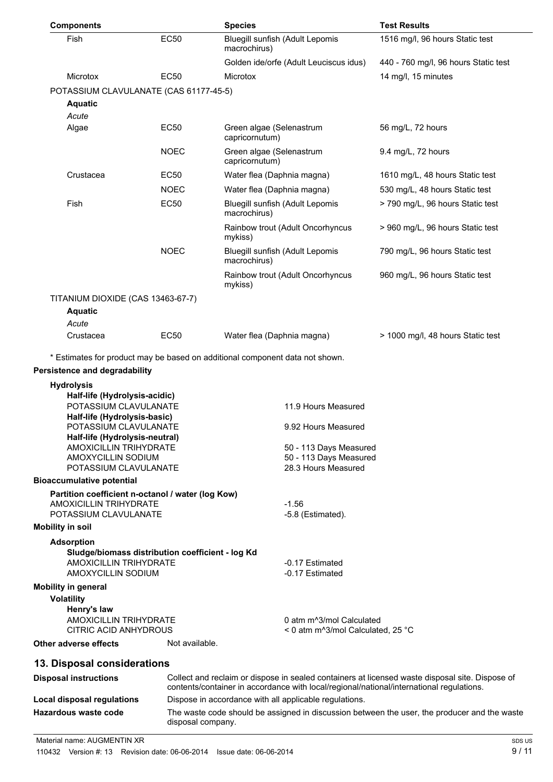| <b>Components</b>                                                                                           |                | <b>Species</b>                                                                                                                                                                              | <b>Test Results</b>                  |
|-------------------------------------------------------------------------------------------------------------|----------------|---------------------------------------------------------------------------------------------------------------------------------------------------------------------------------------------|--------------------------------------|
| Fish                                                                                                        | <b>EC50</b>    | Bluegill sunfish (Adult Lepomis<br>macrochirus)                                                                                                                                             | 1516 mg/l, 96 hours Static test      |
|                                                                                                             |                | Golden ide/orfe (Adult Leuciscus idus)                                                                                                                                                      | 440 - 760 mg/l, 96 hours Static test |
| <b>Microtox</b>                                                                                             | <b>EC50</b>    | Microtox                                                                                                                                                                                    | 14 mg/l, 15 minutes                  |
| POTASSIUM CLAVULANATE (CAS 61177-45-5)                                                                      |                |                                                                                                                                                                                             |                                      |
| <b>Aquatic</b>                                                                                              |                |                                                                                                                                                                                             |                                      |
| Acute                                                                                                       |                |                                                                                                                                                                                             |                                      |
| Algae                                                                                                       | <b>EC50</b>    | Green algae (Selenastrum<br>capricornutum)                                                                                                                                                  | 56 mg/L, 72 hours                    |
|                                                                                                             | <b>NOEC</b>    | Green algae (Selenastrum<br>capricornutum)                                                                                                                                                  | 9.4 mg/L, 72 hours                   |
| Crustacea                                                                                                   | <b>EC50</b>    | Water flea (Daphnia magna)                                                                                                                                                                  | 1610 mg/L, 48 hours Static test      |
|                                                                                                             | <b>NOEC</b>    | Water flea (Daphnia magna)                                                                                                                                                                  | 530 mg/L, 48 hours Static test       |
| Fish                                                                                                        | <b>EC50</b>    | Bluegill sunfish (Adult Lepomis<br>macrochirus)                                                                                                                                             | > 790 mg/L, 96 hours Static test     |
|                                                                                                             |                | Rainbow trout (Adult Oncorhyncus<br>mykiss)                                                                                                                                                 | > 960 mg/L, 96 hours Static test     |
|                                                                                                             | <b>NOEC</b>    | Bluegill sunfish (Adult Lepomis<br>macrochirus)                                                                                                                                             | 790 mg/L, 96 hours Static test       |
|                                                                                                             |                | Rainbow trout (Adult Oncorhyncus<br>mykiss)                                                                                                                                                 | 960 mg/L, 96 hours Static test       |
| TITANIUM DIOXIDE (CAS 13463-67-7)                                                                           |                |                                                                                                                                                                                             |                                      |
| <b>Aquatic</b>                                                                                              |                |                                                                                                                                                                                             |                                      |
| Acute                                                                                                       |                |                                                                                                                                                                                             |                                      |
| Crustacea                                                                                                   | <b>EC50</b>    | Water flea (Daphnia magna)                                                                                                                                                                  | > 1000 mg/l, 48 hours Static test    |
| <b>Hydrolysis</b><br>Half-life (Hydrolysis-acidic)<br>POTASSIUM CLAVULANATE<br>Half-life (Hydrolysis-basic) |                | 11.9 Hours Measured                                                                                                                                                                         |                                      |
| POTASSIUM CLAVULANATE                                                                                       |                | 9.92 Hours Measured                                                                                                                                                                         |                                      |
| Half-life (Hydrolysis-neutral)<br><b>AMOXICILLIN TRIHYDRATE</b>                                             |                | 50 - 113 Days Measured                                                                                                                                                                      |                                      |
| AMOXYCILLIN SODIUM                                                                                          |                | 50 - 113 Days Measured                                                                                                                                                                      |                                      |
| POTASSIUM CLAVULANATE                                                                                       |                | 28.3 Hours Measured                                                                                                                                                                         |                                      |
| <b>Bioaccumulative potential</b>                                                                            |                |                                                                                                                                                                                             |                                      |
| Partition coefficient n-octanol / water (log Kow)<br><b>AMOXICILLIN TRIHYDRATE</b>                          |                | $-1.56$                                                                                                                                                                                     |                                      |
| POTASSIUM CLAVULANATE                                                                                       |                | -5.8 (Estimated).                                                                                                                                                                           |                                      |
| <b>Mobility in soil</b>                                                                                     |                |                                                                                                                                                                                             |                                      |
| <b>Adsorption</b><br>Sludge/biomass distribution coefficient - log Kd<br><b>AMOXICILLIN TRIHYDRATE</b>      |                | -0.17 Estimated                                                                                                                                                                             |                                      |
| AMOXYCILLIN SODIUM                                                                                          |                | -0.17 Estimated                                                                                                                                                                             |                                      |
| <b>Mobility in general</b><br><b>Volatility</b>                                                             |                |                                                                                                                                                                                             |                                      |
| Henry's law<br><b>AMOXICILLIN TRIHYDRATE</b><br>CITRIC ACID ANHYDROUS                                       |                | 0 atm m <sup>3</sup> /mol Calculated<br>< 0 atm m^3/mol Calculated, 25 °C                                                                                                                   |                                      |
| Other adverse effects                                                                                       | Not available. |                                                                                                                                                                                             |                                      |
| 13. Disposal considerations                                                                                 |                |                                                                                                                                                                                             |                                      |
| <b>Disposal instructions</b>                                                                                |                | Collect and reclaim or dispose in sealed containers at licensed waste disposal site. Dispose of<br>contents/container in accordance with local/regional/national/international regulations. |                                      |
| <b>Local disposal regulations</b>                                                                           |                | Dispose in accordance with all applicable regulations.                                                                                                                                      |                                      |
| <b>Hazardous waste code</b>                                                                                 |                | The waste code should be assigned in discussion between the user, the producer and the waste<br>disposal company.                                                                           |                                      |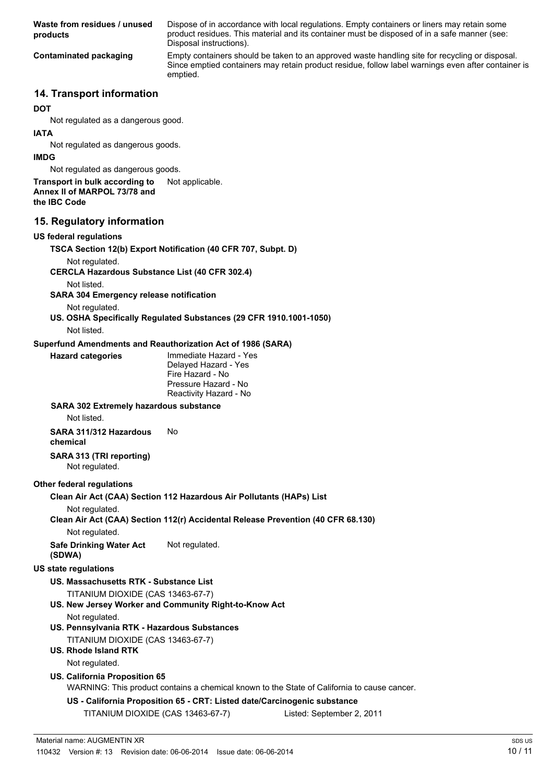| Waste from residues / unused<br>products                                                                        | Dispose of in accordance with local regulations. Empty containers or liners may retain some<br>product residues. This material and its container must be disposed of in a safe manner (see:<br>Disposal instructions). |
|-----------------------------------------------------------------------------------------------------------------|------------------------------------------------------------------------------------------------------------------------------------------------------------------------------------------------------------------------|
| <b>Contaminated packaging</b>                                                                                   | Empty containers should be taken to an approved waste handling site for recycling or disposal.<br>Since emptied containers may retain product residue, follow label warnings even after container is<br>emptied.       |
| 14. Transport information                                                                                       |                                                                                                                                                                                                                        |
| DOT                                                                                                             |                                                                                                                                                                                                                        |
| Not regulated as a dangerous good.                                                                              |                                                                                                                                                                                                                        |
| <b>IATA</b>                                                                                                     |                                                                                                                                                                                                                        |
| Not regulated as dangerous goods.<br><b>IMDG</b>                                                                |                                                                                                                                                                                                                        |
| Not regulated as dangerous goods.                                                                               |                                                                                                                                                                                                                        |
| Transport in bulk according to<br>Annex II of MARPOL 73/78 and<br>the IBC Code                                  | Not applicable.                                                                                                                                                                                                        |
| 15. Regulatory information                                                                                      |                                                                                                                                                                                                                        |
| <b>US federal regulations</b>                                                                                   |                                                                                                                                                                                                                        |
| Not regulated.<br><b>CERCLA Hazardous Substance List (40 CFR 302.4)</b>                                         | TSCA Section 12(b) Export Notification (40 CFR 707, Subpt. D)                                                                                                                                                          |
| Not listed.<br><b>SARA 304 Emergency release notification</b>                                                   |                                                                                                                                                                                                                        |
| Not regulated.                                                                                                  | US. OSHA Specifically Regulated Substances (29 CFR 1910.1001-1050)                                                                                                                                                     |
| Not listed.                                                                                                     |                                                                                                                                                                                                                        |
| Superfund Amendments and Reauthorization Act of 1986 (SARA)<br><b>Hazard categories</b>                         | Immediate Hazard - Yes<br>Delayed Hazard - Yes<br>Fire Hazard - No<br>Pressure Hazard - No<br>Reactivity Hazard - No                                                                                                   |
| <b>SARA 302 Extremely hazardous substance</b><br>Not listed.                                                    |                                                                                                                                                                                                                        |
| SARA 311/312 Hazardous<br>chemical                                                                              | No.                                                                                                                                                                                                                    |
| SARA 313 (TRI reporting)<br>Not regulated.                                                                      |                                                                                                                                                                                                                        |
| <b>Other federal regulations</b>                                                                                |                                                                                                                                                                                                                        |
| Not regulated.                                                                                                  | Clean Air Act (CAA) Section 112 Hazardous Air Pollutants (HAPs) List<br>Clean Air Act (CAA) Section 112(r) Accidental Release Prevention (40 CFR 68.130)                                                               |
| Not regulated.                                                                                                  |                                                                                                                                                                                                                        |
| <b>Safe Drinking Water Act</b><br>(SDWA)                                                                        | Not regulated.                                                                                                                                                                                                         |
| <b>US state regulations</b>                                                                                     |                                                                                                                                                                                                                        |
| US. Massachusetts RTK - Substance List                                                                          |                                                                                                                                                                                                                        |
| TITANIUM DIOXIDE (CAS 13463-67-7)                                                                               | US. New Jersey Worker and Community Right-to-Know Act                                                                                                                                                                  |
| Not regulated.                                                                                                  |                                                                                                                                                                                                                        |
| US. Pennsylvania RTK - Hazardous Substances<br>TITANIUM DIOXIDE (CAS 13463-67-7)<br><b>US. Rhode Island RTK</b> |                                                                                                                                                                                                                        |
| Not regulated.                                                                                                  |                                                                                                                                                                                                                        |
| <b>US. California Proposition 65</b>                                                                            | WARNING: This product contains a chemical known to the State of California to cause cancer.                                                                                                                            |
|                                                                                                                 | US - California Proposition 65 - CRT: Listed date/Carcinogenic substance                                                                                                                                               |